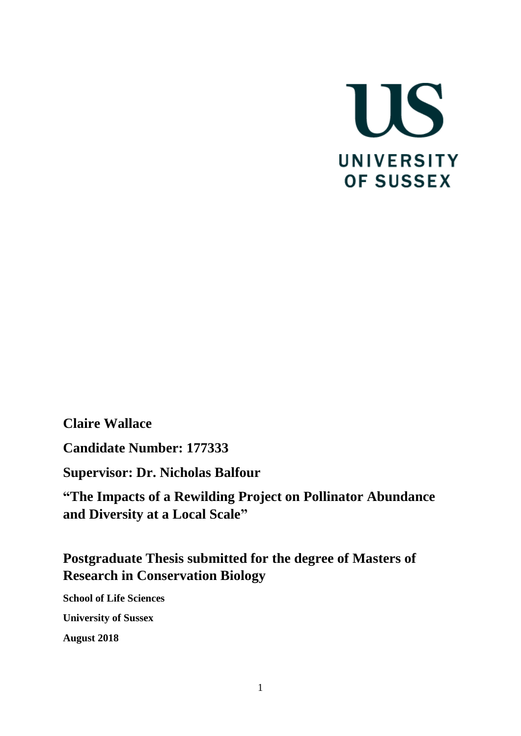

**Claire Wallace**

**Candidate Number: 177333**

**Supervisor: Dr. Nicholas Balfour**

**"The Impacts of a Rewilding Project on Pollinator Abundance and Diversity at a Local Scale"**

# **Postgraduate Thesis submitted for the degree of Masters of Research in Conservation Biology**

**School of Life Sciences University of Sussex August 2018**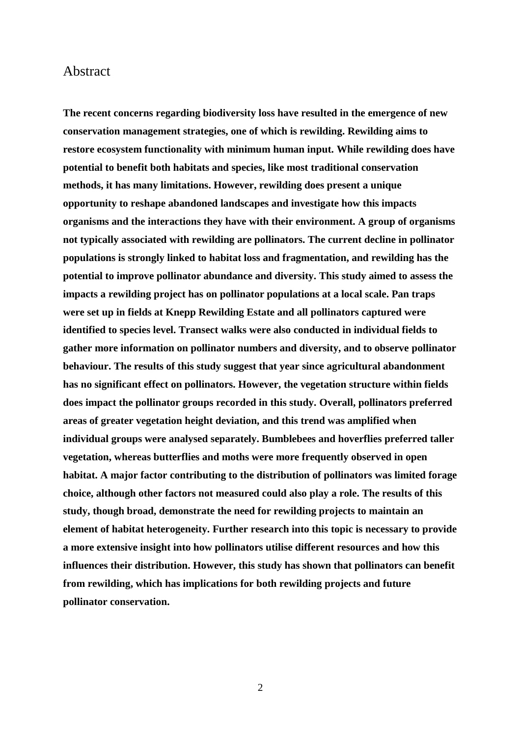## Abstract

**The recent concerns regarding biodiversity loss have resulted in the emergence of new conservation management strategies, one of which is rewilding. Rewilding aims to restore ecosystem functionality with minimum human input. While rewilding does have potential to benefit both habitats and species, like most traditional conservation methods, it has many limitations. However, rewilding does present a unique opportunity to reshape abandoned landscapes and investigate how this impacts organisms and the interactions they have with their environment. A group of organisms not typically associated with rewilding are pollinators. The current decline in pollinator populations is strongly linked to habitat loss and fragmentation, and rewilding has the potential to improve pollinator abundance and diversity. This study aimed to assess the impacts a rewilding project has on pollinator populations at a local scale. Pan traps were set up in fields at Knepp Rewilding Estate and all pollinators captured were identified to species level. Transect walks were also conducted in individual fields to gather more information on pollinator numbers and diversity, and to observe pollinator behaviour. The results of this study suggest that year since agricultural abandonment has no significant effect on pollinators. However, the vegetation structure within fields does impact the pollinator groups recorded in this study. Overall, pollinators preferred areas of greater vegetation height deviation, and this trend was amplified when individual groups were analysed separately. Bumblebees and hoverflies preferred taller vegetation, whereas butterflies and moths were more frequently observed in open habitat. A major factor contributing to the distribution of pollinators was limited forage choice, although other factors not measured could also play a role. The results of this study, though broad, demonstrate the need for rewilding projects to maintain an element of habitat heterogeneity. Further research into this topic is necessary to provide a more extensive insight into how pollinators utilise different resources and how this influences their distribution. However, this study has shown that pollinators can benefit from rewilding, which has implications for both rewilding projects and future pollinator conservation.**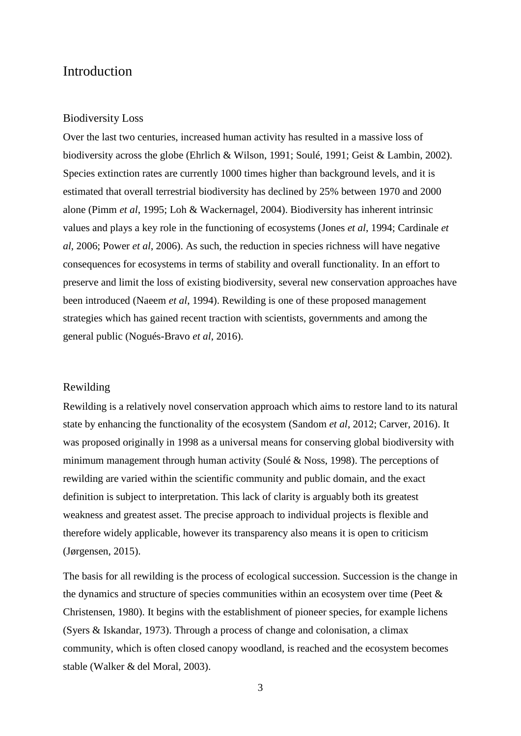## Introduction

#### Biodiversity Loss

Over the last two centuries, increased human activity has resulted in a massive loss of biodiversity across the globe (Ehrlich & Wilson, 1991; Soulé, 1991; Geist & Lambin, 2002). Species extinction rates are currently 1000 times higher than background levels, and it is estimated that overall terrestrial biodiversity has declined by 25% between 1970 and 2000 alone (Pimm *et al*, 1995; Loh & Wackernagel, 2004). Biodiversity has inherent intrinsic values and plays a key role in the functioning of ecosystems (Jones *et al*, 1994; Cardinale *et al*, 2006; Power *et al*, 2006). As such, the reduction in species richness will have negative consequences for ecosystems in terms of stability and overall functionality. In an effort to preserve and limit the loss of existing biodiversity, several new conservation approaches have been introduced (Naeem *et al*, 1994). Rewilding is one of these proposed management strategies which has gained recent traction with scientists, governments and among the general public (Nogués-Bravo *et al*, 2016).

### Rewilding

Rewilding is a relatively novel conservation approach which aims to restore land to its natural state by enhancing the functionality of the ecosystem (Sandom *et al*, 2012; Carver, 2016). It was proposed originally in 1998 as a universal means for conserving global biodiversity with minimum management through human activity (Soulé & Noss, 1998). The perceptions of rewilding are varied within the scientific community and public domain, and the exact definition is subject to interpretation. This lack of clarity is arguably both its greatest weakness and greatest asset. The precise approach to individual projects is flexible and therefore widely applicable, however its transparency also means it is open to criticism (Jørgensen, 2015).

The basis for all rewilding is the process of ecological succession. Succession is the change in the dynamics and structure of species communities within an ecosystem over time (Peet & Christensen, 1980). It begins with the establishment of pioneer species, for example lichens (Syers & Iskandar, 1973). Through a process of change and colonisation, a climax community, which is often closed canopy woodland, is reached and the ecosystem becomes stable (Walker & del Moral, 2003).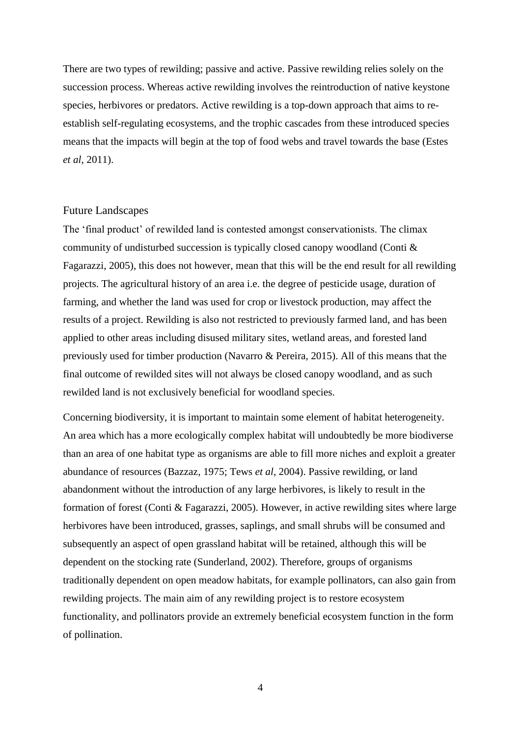There are two types of rewilding; passive and active. Passive rewilding relies solely on the succession process. Whereas active rewilding involves the reintroduction of native keystone species, herbivores or predators. Active rewilding is a top-down approach that aims to reestablish self-regulating ecosystems, and the trophic cascades from these introduced species means that the impacts will begin at the top of food webs and travel towards the base (Estes *et al*, 2011).

#### Future Landscapes

The 'final product' of rewilded land is contested amongst conservationists. The climax community of undisturbed succession is typically closed canopy woodland (Conti & Fagarazzi, 2005), this does not however, mean that this will be the end result for all rewilding projects. The agricultural history of an area i.e. the degree of pesticide usage, duration of farming, and whether the land was used for crop or livestock production, may affect the results of a project. Rewilding is also not restricted to previously farmed land, and has been applied to other areas including disused military sites, wetland areas, and forested land previously used for timber production (Navarro & Pereira, 2015). All of this means that the final outcome of rewilded sites will not always be closed canopy woodland, and as such rewilded land is not exclusively beneficial for woodland species.

Concerning biodiversity, it is important to maintain some element of habitat heterogeneity. An area which has a more ecologically complex habitat will undoubtedly be more biodiverse than an area of one habitat type as organisms are able to fill more niches and exploit a greater abundance of resources (Bazzaz, 1975; Tews *et al*, 2004). Passive rewilding, or land abandonment without the introduction of any large herbivores, is likely to result in the formation of forest (Conti & Fagarazzi, 2005). However, in active rewilding sites where large herbivores have been introduced, grasses, saplings, and small shrubs will be consumed and subsequently an aspect of open grassland habitat will be retained, although this will be dependent on the stocking rate (Sunderland, 2002). Therefore, groups of organisms traditionally dependent on open meadow habitats, for example pollinators, can also gain from rewilding projects. The main aim of any rewilding project is to restore ecosystem functionality, and pollinators provide an extremely beneficial ecosystem function in the form of pollination.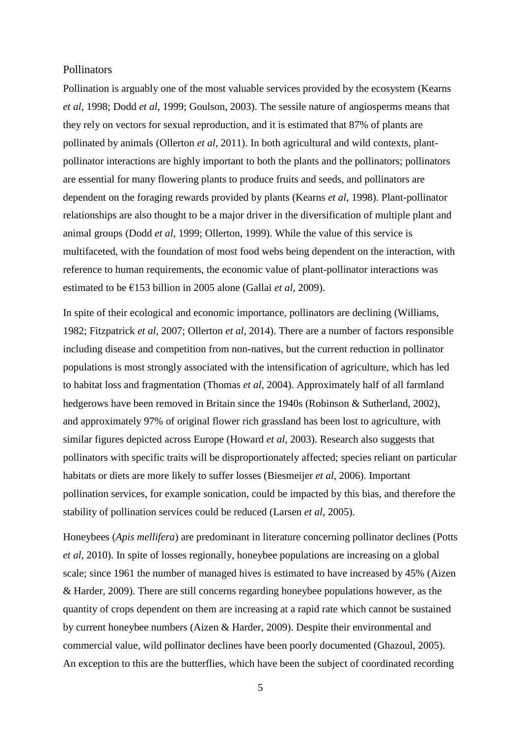### **Pollinators**

Pollination is arguably one of the most valuable services provided by the ecosystem (Kearns *et al*, 1998; Dodd *et al*, 1999; Goulson, 2003). The sessile nature of angiosperms means that they rely on vectors for sexual reproduction, and it is estimated that 87% of plants are pollinated by animals (Ollerton *et al*, 2011). In both agricultural and wild contexts, plantpollinator interactions are highly important to both the plants and the pollinators; pollinators are essential for many flowering plants to produce fruits and seeds, and pollinators are dependent on the foraging rewards provided by plants (Kearns *et al*, 1998). Plant-pollinator relationships are also thought to be a major driver in the diversification of multiple plant and animal groups (Dodd *et al*, 1999; Ollerton, 1999). While the value of this service is multifaceted, with the foundation of most food webs being dependent on the interaction, with reference to human requirements, the economic value of plant-pollinator interactions was estimated to be €153 billion in 2005 alone (Gallai *et al*, 2009).

In spite of their ecological and economic importance, pollinators are declining (Williams, 1982; Fitzpatrick *et al*, 2007; Ollerton *et al*, 2014). There are a number of factors responsible including disease and competition from non-natives, but the current reduction in pollinator populations is most strongly associated with the intensification of agriculture, which has led to habitat loss and fragmentation (Thomas *et al*, 2004). Approximately half of all farmland hedgerows have been removed in Britain since the 1940s (Robinson & Sutherland, 2002), and approximately 97% of original flower rich grassland has been lost to agriculture, with similar figures depicted across Europe (Howard *et al*, 2003). Research also suggests that pollinators with specific traits will be disproportionately affected; species reliant on particular habitats or diets are more likely to suffer losses (Biesmeijer *et al*, 2006). Important pollination services, for example sonication, could be impacted by this bias, and therefore the stability of pollination services could be reduced (Larsen *et al*, 2005).

Honeybees (*Apis mellifera*) are predominant in literature concerning pollinator declines (Potts *et al*, 2010). In spite of losses regionally, honeybee populations are increasing on a global scale; since 1961 the number of managed hives is estimated to have increased by 45% (Aizen & Harder, 2009). There are still concerns regarding honeybee populations however, as the quantity of crops dependent on them are increasing at a rapid rate which cannot be sustained by current honeybee numbers (Aizen & Harder, 2009). Despite their environmental and commercial value, wild pollinator declines have been poorly documented (Ghazoul, 2005). An exception to this are the butterflies, which have been the subject of coordinated recording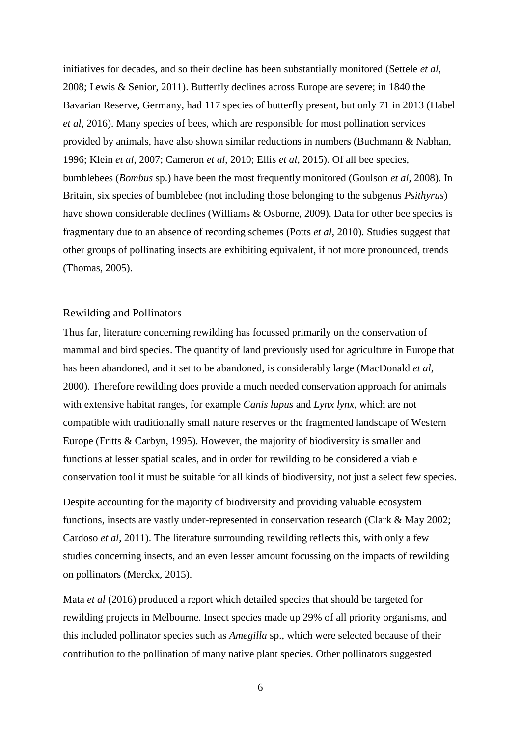initiatives for decades, and so their decline has been substantially monitored (Settele *et al*, 2008; Lewis & Senior, 2011). Butterfly declines across Europe are severe; in 1840 the Bavarian Reserve, Germany, had 117 species of butterfly present, but only 71 in 2013 (Habel *et al*, 2016). Many species of bees, which are responsible for most pollination services provided by animals, have also shown similar reductions in numbers (Buchmann & Nabhan, 1996; Klein *et al*, 2007; Cameron *et al*, 2010; Ellis *et al*, 2015). Of all bee species, bumblebees (*Bombus* sp.) have been the most frequently monitored (Goulson *et al*, 2008). In Britain, six species of bumblebee (not including those belonging to the subgenus *Psithyrus*) have shown considerable declines (Williams & Osborne, 2009). Data for other bee species is fragmentary due to an absence of recording schemes (Potts *et al*, 2010). Studies suggest that other groups of pollinating insects are exhibiting equivalent, if not more pronounced, trends (Thomas, 2005).

### Rewilding and Pollinators

Thus far, literature concerning rewilding has focussed primarily on the conservation of mammal and bird species. The quantity of land previously used for agriculture in Europe that has been abandoned, and it set to be abandoned, is considerably large (MacDonald *et al*, 2000). Therefore rewilding does provide a much needed conservation approach for animals with extensive habitat ranges, for example *Canis lupus* and *Lynx lynx*, which are not compatible with traditionally small nature reserves or the fragmented landscape of Western Europe (Fritts & Carbyn, 1995). However, the majority of biodiversity is smaller and functions at lesser spatial scales, and in order for rewilding to be considered a viable conservation tool it must be suitable for all kinds of biodiversity, not just a select few species.

Despite accounting for the majority of biodiversity and providing valuable ecosystem functions, insects are vastly under-represented in conservation research (Clark & May [2002;](https://link.springer.com/chapter/10.1007/978-3-319-12039-3_6#CR6) Cardoso *et al*, [2011\)](https://link.springer.com/chapter/10.1007/978-3-319-12039-3_6#CR4). The literature surrounding rewilding reflects this, with only a few studies concerning insects, and an even lesser amount focussing on the impacts of rewilding on pollinators (Merckx, 2015).

Mata *et al* (2016) produced a report which detailed species that should be targeted for rewilding projects in Melbourne. Insect species made up 29% of all priority organisms, and this included pollinator species such as *Amegilla* sp., which were selected because of their contribution to the pollination of many native plant species. Other pollinators suggested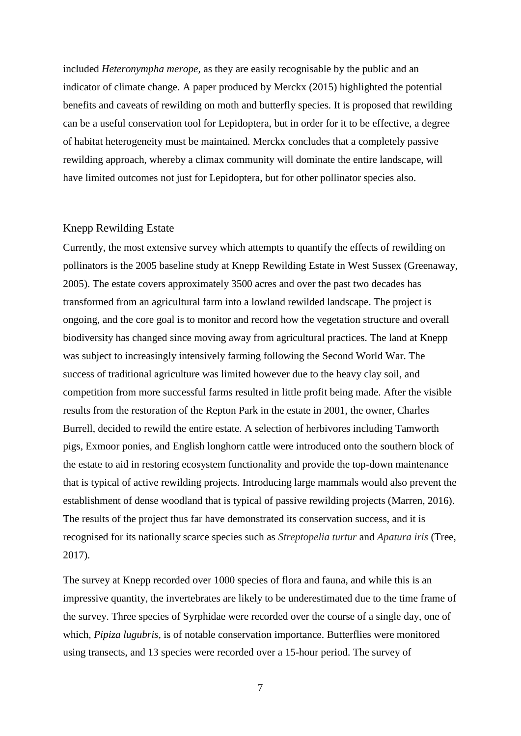included *Heteronympha merope,* as they are easily recognisable by the public and an indicator of climate change. A paper produced by Merckx (2015) highlighted the potential benefits and caveats of rewilding on moth and butterfly species. It is proposed that rewilding can be a useful conservation tool for Lepidoptera, but in order for it to be effective, a degree of habitat heterogeneity must be maintained. Merckx concludes that a completely passive rewilding approach, whereby a climax community will dominate the entire landscape, will have limited outcomes not just for Lepidoptera, but for other pollinator species also.

#### Knepp Rewilding Estate

Currently, the most extensive survey which attempts to quantify the effects of rewilding on pollinators is the 2005 baseline study at Knepp Rewilding Estate in West Sussex (Greenaway, 2005). The estate covers approximately 3500 acres and over the past two decades has transformed from an agricultural farm into a lowland rewilded landscape. The project is ongoing, and the core goal is to monitor and record how the vegetation structure and overall biodiversity has changed since moving away from agricultural practices. The land at Knepp was subject to increasingly intensively farming following the Second World War. The success of traditional agriculture was limited however due to the heavy clay soil, and competition from more successful farms resulted in little profit being made. After the visible results from the restoration of the Repton Park in the estate in 2001, the owner, Charles Burrell, decided to rewild the entire estate. A selection of herbivores including Tamworth pigs, Exmoor ponies, and English longhorn cattle were introduced onto the southern block of the estate to aid in restoring ecosystem functionality and provide the top-down maintenance that is typical of active rewilding projects. Introducing large mammals would also prevent the establishment of dense woodland that is typical of passive rewilding projects (Marren, 2016). The results of the project thus far have demonstrated its conservation success, and it is recognised for its nationally scarce species such as *Streptopelia turtur* and *Apatura iris* (Tree, 2017).

The survey at Knepp recorded over 1000 species of flora and fauna, and while this is an impressive quantity, the invertebrates are likely to be underestimated due to the time frame of the survey. Three species of Syrphidae were recorded over the course of a single day, one of which, *Pipiza lugubris*, is of notable conservation importance. Butterflies were monitored using transects, and 13 species were recorded over a 15-hour period. The survey of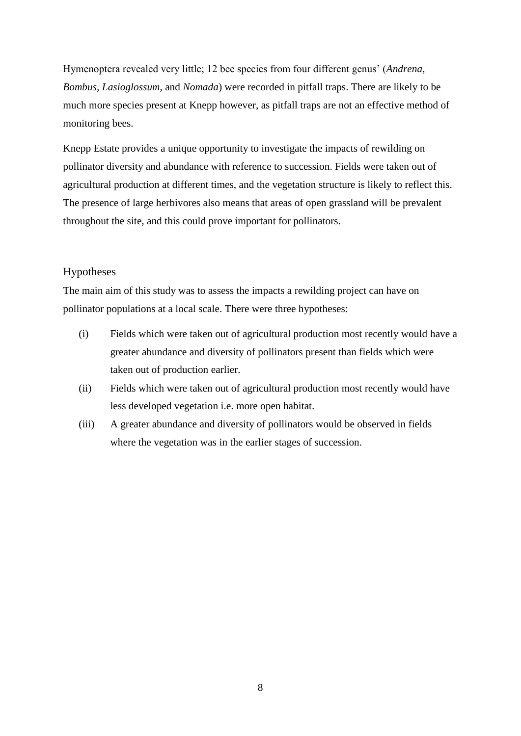Hymenoptera revealed very little; 12 bee species from four different genus' (*Andrena, Bombus, Lasioglossum*, and *Nomada*) were recorded in pitfall traps. There are likely to be much more species present at Knepp however, as pitfall traps are not an effective method of monitoring bees.

Knepp Estate provides a unique opportunity to investigate the impacts of rewilding on pollinator diversity and abundance with reference to succession. Fields were taken out of agricultural production at different times, and the vegetation structure is likely to reflect this. The presence of large herbivores also means that areas of open grassland will be prevalent throughout the site, and this could prove important for pollinators.

### Hypotheses

The main aim of this study was to assess the impacts a rewilding project can have on pollinator populations at a local scale. There were three hypotheses:

- (i) Fields which were taken out of agricultural production most recently would have a greater abundance and diversity of pollinators present than fields which were taken out of production earlier.
- (ii) Fields which were taken out of agricultural production most recently would have less developed vegetation i.e. more open habitat.
- (iii) A greater abundance and diversity of pollinators would be observed in fields where the vegetation was in the earlier stages of succession.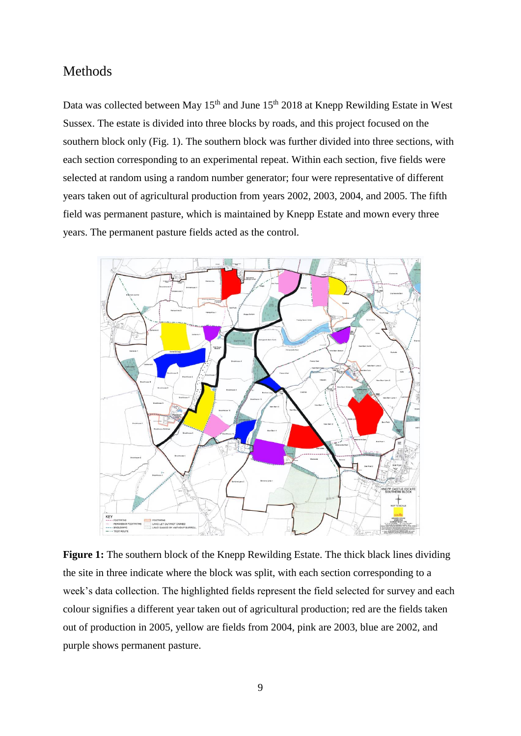## Methods

Data was collected between May  $15<sup>th</sup>$  and June  $15<sup>th</sup>$  2018 at Knepp Rewilding Estate in West Sussex. The estate is divided into three blocks by roads, and this project focused on the southern block only (Fig. 1). The southern block was further divided into three sections, with each section corresponding to an experimental repeat. Within each section, five fields were selected at random using a random number generator; four were representative of different years taken out of agricultural production from years 2002, 2003, 2004, and 2005. The fifth field was permanent pasture, which is maintained by Knepp Estate and mown every three years. The permanent pasture fields acted as the control.



**Figure 1:** The southern block of the Knepp Rewilding Estate. The thick black lines dividing the site in three indicate where the block was split, with each section corresponding to a week's data collection. The highlighted fields represent the field selected for survey and each colour signifies a different year taken out of agricultural production; red are the fields taken out of production in 2005, yellow are fields from 2004, pink are 2003, blue are 2002, and purple shows permanent pasture.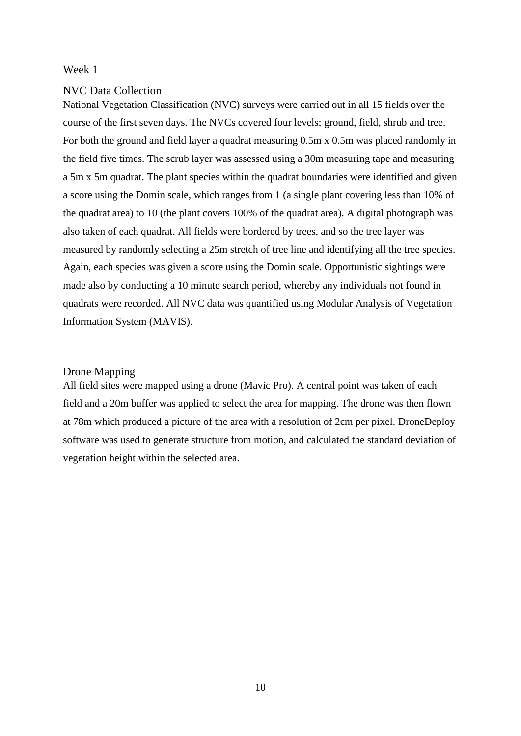#### Week 1

#### NVC Data Collection

National Vegetation Classification (NVC) surveys were carried out in all 15 fields over the course of the first seven days. The NVCs covered four levels; ground, field, shrub and tree. For both the ground and field layer a quadrat measuring 0.5m x 0.5m was placed randomly in the field five times. The scrub layer was assessed using a 30m measuring tape and measuring a 5m x 5m quadrat. The plant species within the quadrat boundaries were identified and given a score using the Domin scale, which ranges from 1 (a single plant covering less than 10% of the quadrat area) to 10 (the plant covers 100% of the quadrat area). A digital photograph was also taken of each quadrat. All fields were bordered by trees, and so the tree layer was measured by randomly selecting a 25m stretch of tree line and identifying all the tree species. Again, each species was given a score using the Domin scale. Opportunistic sightings were made also by conducting a 10 minute search period, whereby any individuals not found in quadrats were recorded. All NVC data was quantified using Modular Analysis of Vegetation Information System (MAVIS).

### Drone Mapping

All field sites were mapped using a drone (Mavic Pro). A central point was taken of each field and a 20m buffer was applied to select the area for mapping. The drone was then flown at 78m which produced a picture of the area with a resolution of 2cm per pixel. DroneDeploy software was used to generate structure from motion, and calculated the standard deviation of vegetation height within the selected area.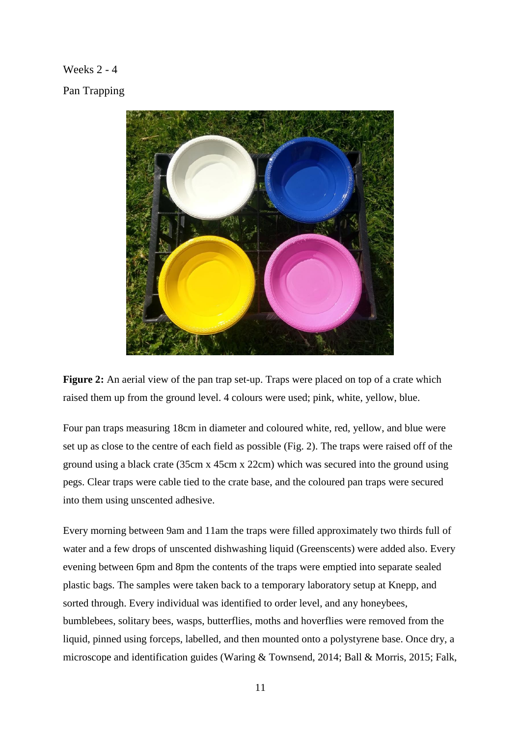## Weeks 2 - 4

Pan Trapping



**Figure 2:** An aerial view of the pan trap set-up. Traps were placed on top of a crate which raised them up from the ground level. 4 colours were used; pink, white, yellow, blue.

Four pan traps measuring 18cm in diameter and coloured white, red, yellow, and blue were set up as close to the centre of each field as possible (Fig. 2). The traps were raised off of the ground using a black crate (35cm x 45cm x 22cm) which was secured into the ground using pegs. Clear traps were cable tied to the crate base, and the coloured pan traps were secured into them using unscented adhesive.

Every morning between 9am and 11am the traps were filled approximately two thirds full of water and a few drops of unscented dishwashing liquid (Greenscents) were added also. Every evening between 6pm and 8pm the contents of the traps were emptied into separate sealed plastic bags. The samples were taken back to a temporary laboratory setup at Knepp, and sorted through. Every individual was identified to order level, and any honeybees, bumblebees, solitary bees, wasps, butterflies, moths and hoverflies were removed from the liquid, pinned using forceps, labelled, and then mounted onto a polystyrene base. Once dry, a microscope and identification guides (Waring & Townsend, 2014; Ball & Morris, 2015; Falk,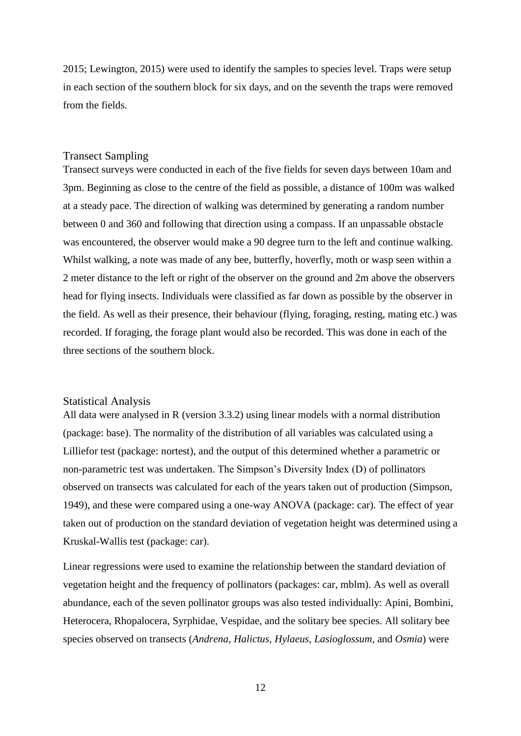2015; Lewington, 2015) were used to identify the samples to species level. Traps were setup in each section of the southern block for six days, and on the seventh the traps were removed from the fields.

#### Transect Sampling

Transect surveys were conducted in each of the five fields for seven days between 10am and 3pm. Beginning as close to the centre of the field as possible, a distance of 100m was walked at a steady pace. The direction of walking was determined by generating a random number between 0 and 360 and following that direction using a compass. If an unpassable obstacle was encountered, the observer would make a 90 degree turn to the left and continue walking. Whilst walking, a note was made of any bee, butterfly, hoverfly, moth or wasp seen within a 2 meter distance to the left or right of the observer on the ground and 2m above the observers head for flying insects. Individuals were classified as far down as possible by the observer in the field. As well as their presence, their behaviour (flying, foraging, resting, mating etc.) was recorded. If foraging, the forage plant would also be recorded. This was done in each of the three sections of the southern block.

#### Statistical Analysis

All data were analysed in R (version 3.3.2) using linear models with a normal distribution (package: base). The normality of the distribution of all variables was calculated using a Lilliefor test (package: nortest), and the output of this determined whether a parametric or non-parametric test was undertaken. The Simpson's Diversity Index (D) of pollinators observed on transects was calculated for each of the years taken out of production (Simpson, 1949), and these were compared using a one-way ANOVA (package: car). The effect of year taken out of production on the standard deviation of vegetation height was determined using a Kruskal-Wallis test (package: car).

Linear regressions were used to examine the relationship between the standard deviation of vegetation height and the frequency of pollinators (packages: car, mblm). As well as overall abundance, each of the seven pollinator groups was also tested individually: Apini, Bombini, Heterocera, Rhopalocera, Syrphidae, Vespidae, and the solitary bee species. All solitary bee species observed on transects (*Andrena, Halictus, Hylaeus*, *Lasioglossum,* and *Osmia*) were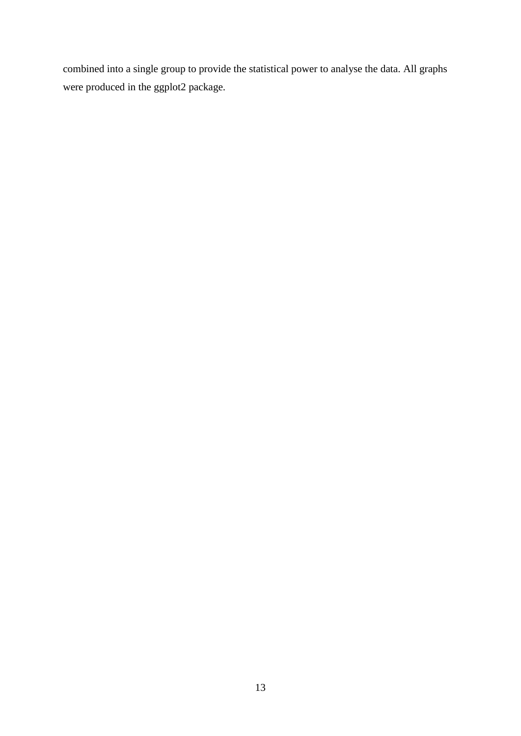combined into a single group to provide the statistical power to analyse the data. All graphs were produced in the ggplot2 package.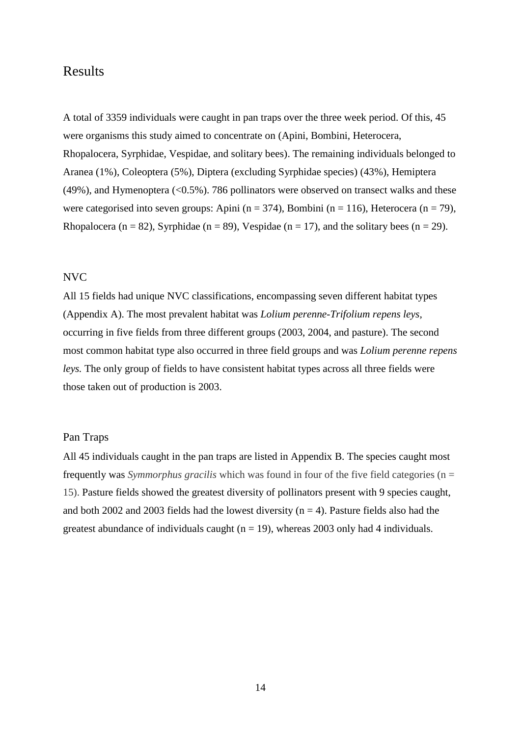## Results

A total of 3359 individuals were caught in pan traps over the three week period. Of this, 45 were organisms this study aimed to concentrate on (Apini, Bombini, Heterocera, Rhopalocera, Syrphidae, Vespidae, and solitary bees). The remaining individuals belonged to Aranea (1%), Coleoptera (5%), Diptera (excluding Syrphidae species) (43%), Hemiptera (49%), and Hymenoptera (<0.5%). 786 pollinators were observed on transect walks and these were categorised into seven groups: Apini (n = 374), Bombini (n = 116), Heterocera (n = 79), Rhopalocera (n = 82), Syrphidae (n = 89), Vespidae (n = 17), and the solitary bees (n = 29).

#### NVC

All 15 fields had unique NVC classifications, encompassing seven different habitat types (Appendix A). The most prevalent habitat was *Lolium perenne-Trifolium repens leys,* occurring in five fields from three different groups (2003, 2004, and pasture). The second most common habitat type also occurred in three field groups and was *Lolium perenne repens leys.* The only group of fields to have consistent habitat types across all three fields were those taken out of production is 2003.

#### Pan Traps

All 45 individuals caught in the pan traps are listed in Appendix B. The species caught most frequently was *Symmorphus gracilis* which was found in four of the five field categories (n = 15). Pasture fields showed the greatest diversity of pollinators present with 9 species caught, and both 2002 and 2003 fields had the lowest diversity ( $n = 4$ ). Pasture fields also had the greatest abundance of individuals caught ( $n = 19$ ), whereas 2003 only had 4 individuals.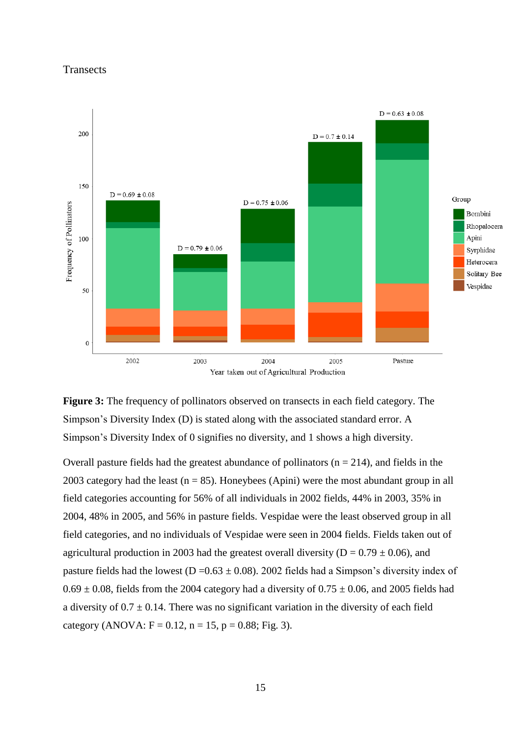### **Transects**







Overall pasture fields had the greatest abundance of pollinators  $(n = 214)$ , and fields in the 2003 category had the least ( $n = 85$ ). Honeybees (Apini) were the most abundant group in all field categories accounting for 56% of all individuals in 2002 fields, 44% in 2003, 35% in 2004, 48% in 2005, and 56% in pasture fields. Vespidae were the least observed group in all field categories, and no individuals of Vespidae were seen in 2004 fields. Fields taken out of agricultural production in 2003 had the greatest overall diversity ( $D = 0.79 \pm 0.06$ ), and pasture fields had the lowest ( $D = 0.63 \pm 0.08$ ). 2002 fields had a Simpson's diversity index of  $0.69 \pm 0.08$ , fields from the 2004 category had a diversity of  $0.75 \pm 0.06$ , and 2005 fields had a diversity of  $0.7 \pm 0.14$ . There was no significant variation in the diversity of each field category (ANOVA:  $F = 0.12$ ,  $n = 15$ ,  $p = 0.88$ ; Fig. 3).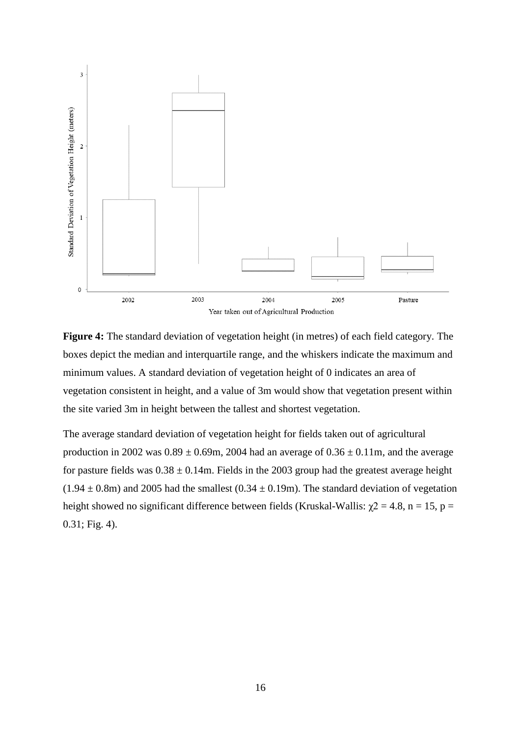

**Figure 4:** The standard deviation of vegetation height (in metres) of each field category. The boxes depict the median and interquartile range, and the whiskers indicate the maximum and minimum values. A standard deviation of vegetation height of 0 indicates an area of vegetation consistent in height, and a value of 3m would show that vegetation present within the site varied 3m in height between the tallest and shortest vegetation.

The average standard deviation of vegetation height for fields taken out of agricultural production in 2002 was  $0.89 \pm 0.69$ m, 2004 had an average of  $0.36 \pm 0.11$ m, and the average for pasture fields was  $0.38 \pm 0.14$ m. Fields in the 2003 group had the greatest average height  $(1.94 \pm 0.8$ m) and 2005 had the smallest  $(0.34 \pm 0.19$ m). The standard deviation of vegetation height showed no significant difference between fields (Kruskal-Wallis:  $\chi$ 2 = 4.8, n = 15, p = 0.31; Fig. 4).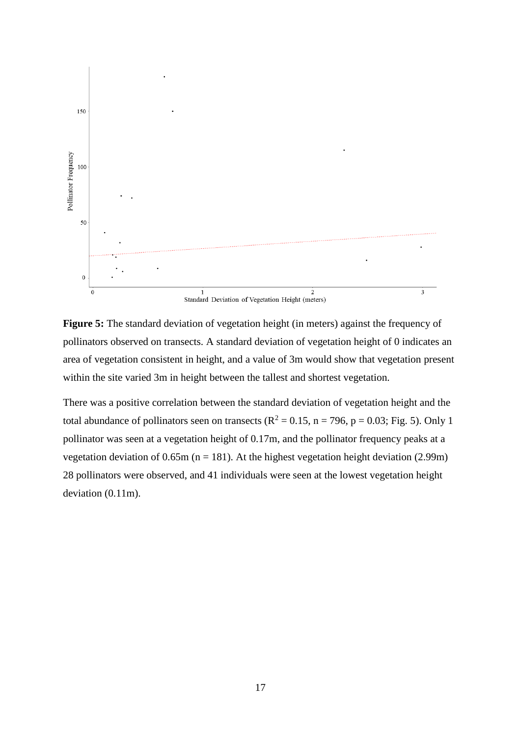

**Figure 5:** The standard deviation of vegetation height (in meters) against the frequency of pollinators observed on transects. A standard deviation of vegetation height of 0 indicates an area of vegetation consistent in height, and a value of 3m would show that vegetation present within the site varied 3m in height between the tallest and shortest vegetation.

There was a positive correlation between the standard deviation of vegetation height and the total abundance of pollinators seen on transects ( $R^2 = 0.15$ ,  $n = 796$ ,  $p = 0.03$ ; Fig. 5). Only 1 pollinator was seen at a vegetation height of 0.17m, and the pollinator frequency peaks at a vegetation deviation of 0.65m ( $n = 181$ ). At the highest vegetation height deviation (2.99m) 28 pollinators were observed, and 41 individuals were seen at the lowest vegetation height deviation (0.11m).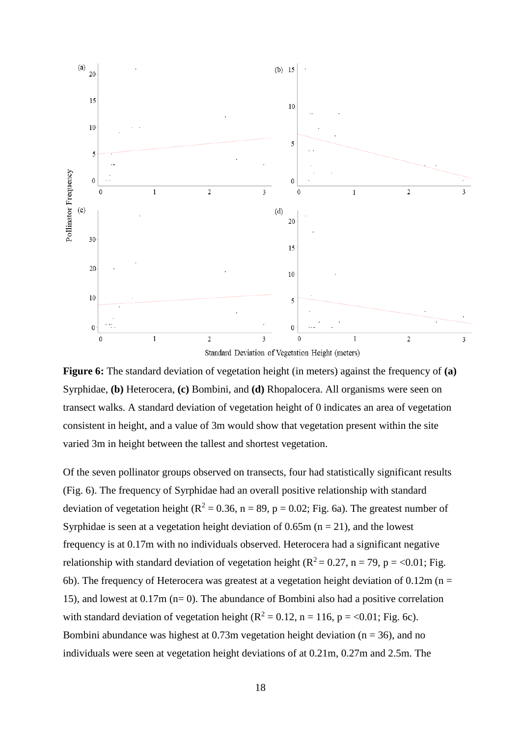



Of the seven pollinator groups observed on transects, four had statistically significant results (Fig. 6). The frequency of Syrphidae had an overall positive relationship with standard deviation of vegetation height ( $R^2 = 0.36$ ,  $n = 89$ ,  $p = 0.02$ ; Fig. 6a). The greatest number of Syrphidae is seen at a vegetation height deviation of  $0.65m$  ( $n = 21$ ), and the lowest frequency is at 0.17m with no individuals observed. Heterocera had a significant negative relationship with standard deviation of vegetation height ( $R^2 = 0.27$ ,  $n = 79$ ,  $p = <0.01$ ; Fig. 6b). The frequency of Heterocera was greatest at a vegetation height deviation of  $0.12$ m (n = 15), and lowest at 0.17m (n= 0). The abundance of Bombini also had a positive correlation with standard deviation of vegetation height ( $R^2 = 0.12$ , n = 116, p = <0.01; Fig. 6c). Bombini abundance was highest at  $0.73$ m vegetation height deviation ( $n = 36$ ), and no individuals were seen at vegetation height deviations of at 0.21m, 0.27m and 2.5m. The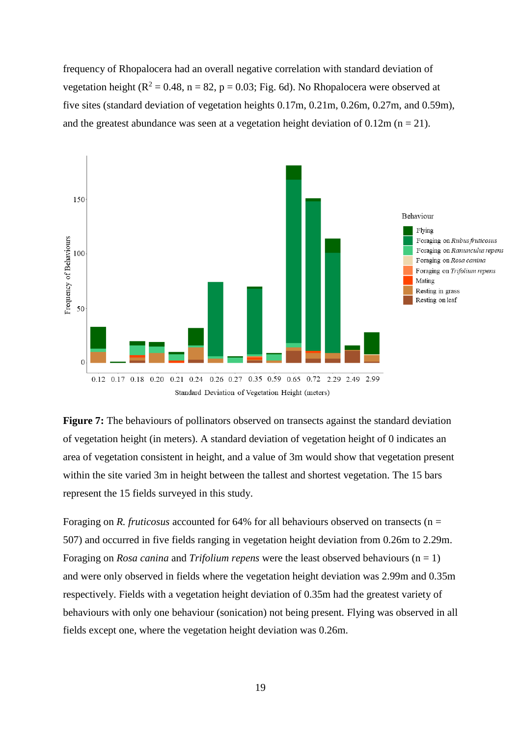frequency of Rhopalocera had an overall negative correlation with standard deviation of vegetation height ( $R^2 = 0.48$ , n = 82, p = 0.03; Fig. 6d). No Rhopalocera were observed at five sites (standard deviation of vegetation heights 0.17m, 0.21m, 0.26m, 0.27m, and 0.59m), and the greatest abundance was seen at a vegetation height deviation of  $0.12m$  ( $n = 21$ ).



**Figure 7:** The behaviours of pollinators observed on transects against the standard deviation of vegetation height (in meters). A standard deviation of vegetation height of 0 indicates an area of vegetation consistent in height, and a value of 3m would show that vegetation present within the site varied 3m in height between the tallest and shortest vegetation. The 15 bars represent the 15 fields surveyed in this study.

Foraging on *R. fruticosus* accounted for 64% for all behaviours observed on transects (n = 507) and occurred in five fields ranging in vegetation height deviation from 0.26m to 2.29m. Foraging on *Rosa canina* and *Trifolium repens* were the least observed behaviours (n = 1) and were only observed in fields where the vegetation height deviation was 2.99m and 0.35m respectively. Fields with a vegetation height deviation of 0.35m had the greatest variety of behaviours with only one behaviour (sonication) not being present. Flying was observed in all fields except one, where the vegetation height deviation was 0.26m.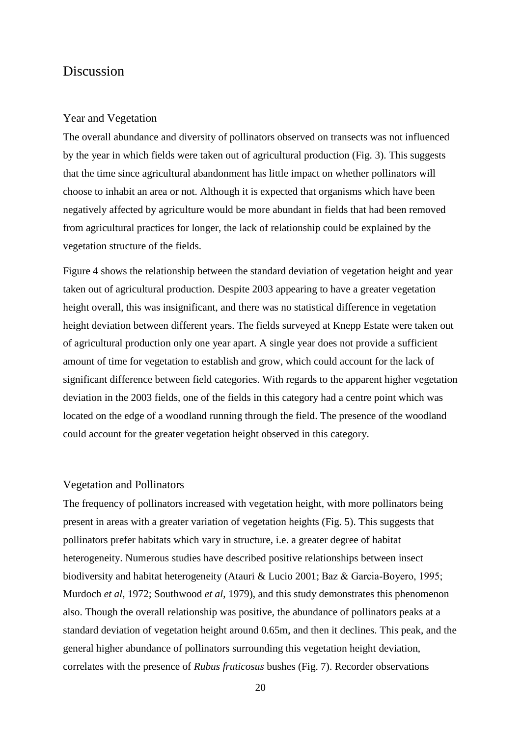## Discussion

#### Year and Vegetation

The overall abundance and diversity of pollinators observed on transects was not influenced by the year in which fields were taken out of agricultural production (Fig. 3). This suggests that the time since agricultural abandonment has little impact on whether pollinators will choose to inhabit an area or not. Although it is expected that organisms which have been negatively affected by agriculture would be more abundant in fields that had been removed from agricultural practices for longer, the lack of relationship could be explained by the vegetation structure of the fields.

Figure 4 shows the relationship between the standard deviation of vegetation height and year taken out of agricultural production. Despite 2003 appearing to have a greater vegetation height overall, this was insignificant, and there was no statistical difference in vegetation height deviation between different years. The fields surveyed at Knepp Estate were taken out of agricultural production only one year apart. A single year does not provide a sufficient amount of time for vegetation to establish and grow, which could account for the lack of significant difference between field categories. With regards to the apparent higher vegetation deviation in the 2003 fields, one of the fields in this category had a centre point which was located on the edge of a woodland running through the field. The presence of the woodland could account for the greater vegetation height observed in this category.

#### Vegetation and Pollinators

The frequency of pollinators increased with vegetation height, with more pollinators being present in areas with a greater variation of vegetation heights (Fig. 5). This suggests that pollinators prefer habitats which vary in structure, i.e. a greater degree of habitat heterogeneity. Numerous studies have described positive relationships between insect biodiversity and habitat heterogeneity (Atauri & Lucio 2001; Baz & Garcia‐Boyero, 1995; Murdoch *et al*, 1972; Southwood *et al*, 1979), and this study demonstrates this phenomenon also. Though the overall relationship was positive, the abundance of pollinators peaks at a standard deviation of vegetation height around 0.65m, and then it declines. This peak, and the general higher abundance of pollinators surrounding this vegetation height deviation, correlates with the presence of *Rubus fruticosus* bushes (Fig. 7). Recorder observations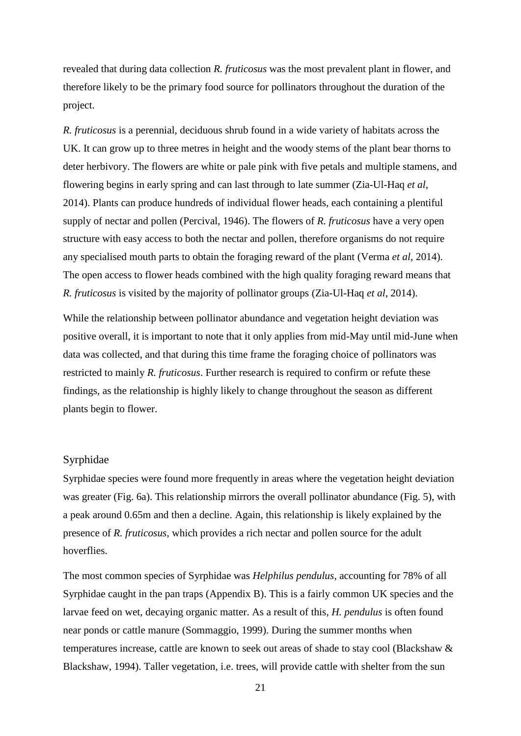revealed that during data collection *R. fruticosus* was the most prevalent plant in flower, and therefore likely to be the primary food source for pollinators throughout the duration of the project.

*R. fruticosus* is a perennial, deciduous shrub found in a wide variety of habitats across the UK. It can grow up to three metres in height and the woody stems of the plant bear thorns to deter herbivory. The flowers are white or pale pink with five petals and multiple stamens, and flowering begins in early spring and can last through to late summer (Zia-Ul-Haq *et al*, 2014). Plants can produce hundreds of individual flower heads, each containing a plentiful supply of nectar and pollen (Percival, 1946). The flowers of *R. fruticosus* have a very open structure with easy access to both the nectar and pollen, therefore organisms do not require any specialised mouth parts to obtain the foraging reward of the plant (Verma *et al*, 2014). The open access to flower heads combined with the high quality foraging reward means that *R. fruticosus* is visited by the majority of pollinator groups (Zia-Ul-Haq *et al*, 2014).

While the relationship between pollinator abundance and vegetation height deviation was positive overall, it is important to note that it only applies from mid-May until mid-June when data was collected, and that during this time frame the foraging choice of pollinators was restricted to mainly *R. fruticosus*. Further research is required to confirm or refute these findings, as the relationship is highly likely to change throughout the season as different plants begin to flower.

### Syrphidae

Syrphidae species were found more frequently in areas where the vegetation height deviation was greater (Fig. 6a). This relationship mirrors the overall pollinator abundance (Fig. 5), with a peak around 0.65m and then a decline. Again, this relationship is likely explained by the presence of *R. fruticosus*, which provides a rich nectar and pollen source for the adult hoverflies.

The most common species of Syrphidae was *Helphilus pendulus*, accounting for 78% of all Syrphidae caught in the pan traps (Appendix B). This is a fairly common UK species and the larvae feed on wet, decaying organic matter. As a result of this, *H. pendulus* is often found near ponds or cattle manure (Sommaggio, 1999). During the summer months when temperatures increase, cattle are known to seek out areas of shade to stay cool (Blackshaw & Blackshaw, 1994). Taller vegetation, i.e. trees, will provide cattle with shelter from the sun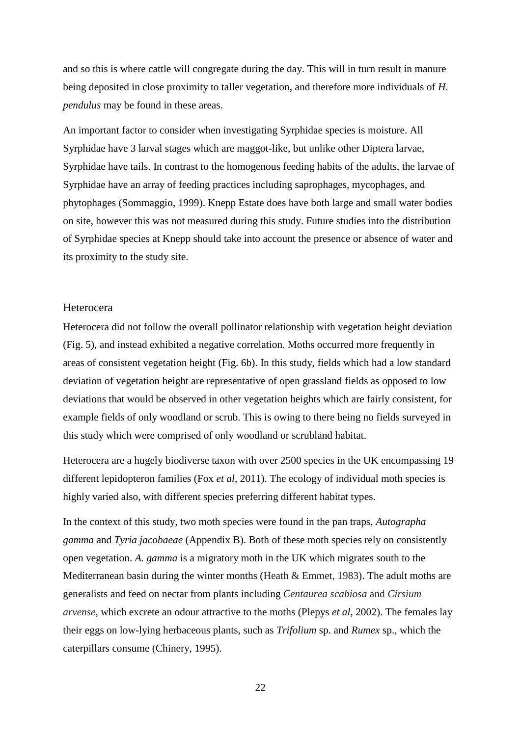and so this is where cattle will congregate during the day. This will in turn result in manure being deposited in close proximity to taller vegetation, and therefore more individuals of *H. pendulus* may be found in these areas.

An important factor to consider when investigating Syrphidae species is moisture. All Syrphidae have 3 larval stages which are maggot-like, but unlike other Diptera larvae, Syrphidae have tails. In contrast to the homogenous feeding habits of the adults, the larvae of Syrphidae have an array of feeding practices including saprophages, mycophages, and phytophages (Sommaggio, 1999). Knepp Estate does have both large and small water bodies on site, however this was not measured during this study. Future studies into the distribution of Syrphidae species at Knepp should take into account the presence or absence of water and its proximity to the study site.

#### Heterocera

Heterocera did not follow the overall pollinator relationship with vegetation height deviation (Fig. 5), and instead exhibited a negative correlation. Moths occurred more frequently in areas of consistent vegetation height (Fig. 6b). In this study, fields which had a low standard deviation of vegetation height are representative of open grassland fields as opposed to low deviations that would be observed in other vegetation heights which are fairly consistent, for example fields of only woodland or scrub. This is owing to there being no fields surveyed in this study which were comprised of only woodland or scrubland habitat.

Heterocera are a hugely biodiverse taxon with over 2500 species in the UK encompassing 19 different lepidopteron families (Fox *et al*, 2011). The ecology of individual moth species is highly varied also, with different species preferring different habitat types.

In the context of this study, two moth species were found in the pan traps, *Autographa gamma* and *Tyria jacobaeae* (Appendix B). Both of these moth species rely on consistently open vegetation. *A. gamma* is a migratory moth in the UK which migrates south to the Mediterranean basin during the winter months (Heath  $\&$  Emmet, 1983). The adult moths are generalists and feed on nectar from plants including *Centaurea scabiosa* and *Cirsium arvense*, which excrete an odour attractive to the moths (Plepys *et al*, 2002). The females lay their eggs on low-lying herbaceous plants, such as *Trifolium* sp. and *Rumex* sp., which the caterpillars consume (Chinery, 1995).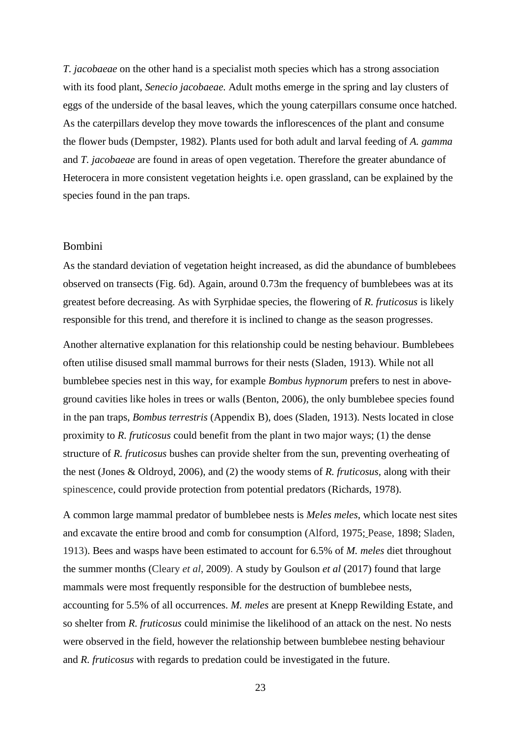*T. jacobaeae* on the other hand is a specialist moth species which has a strong association with its food plant, *Senecio jacobaeae.* Adult moths emerge in the spring and lay clusters of eggs of the underside of the basal leaves, which the young caterpillars consume once hatched. As the caterpillars develop they move towards the inflorescences of the plant and consume the flower buds (Dempster, 1982). Plants used for both adult and larval feeding of *A. gamma* and *T. jacobaeae* are found in areas of open vegetation. Therefore the greater abundance of Heterocera in more consistent vegetation heights i.e. open grassland, can be explained by the species found in the pan traps.

#### Bombini

As the standard deviation of vegetation height increased, as did the abundance of bumblebees observed on transects (Fig. 6d). Again, around 0.73m the frequency of bumblebees was at its greatest before decreasing. As with Syrphidae species, the flowering of *R. fruticosus* is likely responsible for this trend, and therefore it is inclined to change as the season progresses.

Another alternative explanation for this relationship could be nesting behaviour. Bumblebees often utilise disused small mammal burrows for their nests (Sladen, 1913). While not all bumblebee species nest in this way, for example *Bombus hypnorum* prefers to nest in aboveground cavities like holes in trees or walls (Benton, 2006), the only bumblebee species found in the pan traps, *Bombus terrestris* (Appendix B), does (Sladen, 1913). Nests located in close proximity to *R. fruticosus* could benefit from the plant in two major ways; (1) the dense structure of *R. fruticosus* bushes can provide shelter from the sun, preventing overheating of the nest (Jones & Oldroyd, 2006), and (2) the woody stems of *R. fruticosus,* along with their spinescence, could provide protection from potential predators (Richards, 1978).

A common large mammal predator of bumblebee nests is *Meles meles*, which locate nest sites and excavate the entire brood and comb for consumption (Alford, 1975; Pease, 1898; Sladen, 1913). Bees and wasps have been estimated to account for 6.5% of *M. meles* diet throughout the summer months (Cleary *et al*, 2009). A study by Goulson *et al* (2017) found that large mammals were most frequently responsible for the destruction of bumblebee nests, accounting for 5.5% of all occurrences. *M. meles* are present at Knepp Rewilding Estate, and so shelter from *R. fruticosus* could minimise the likelihood of an attack on the nest. No nests were observed in the field, however the relationship between bumblebee nesting behaviour and *R. fruticosus* with regards to predation could be investigated in the future.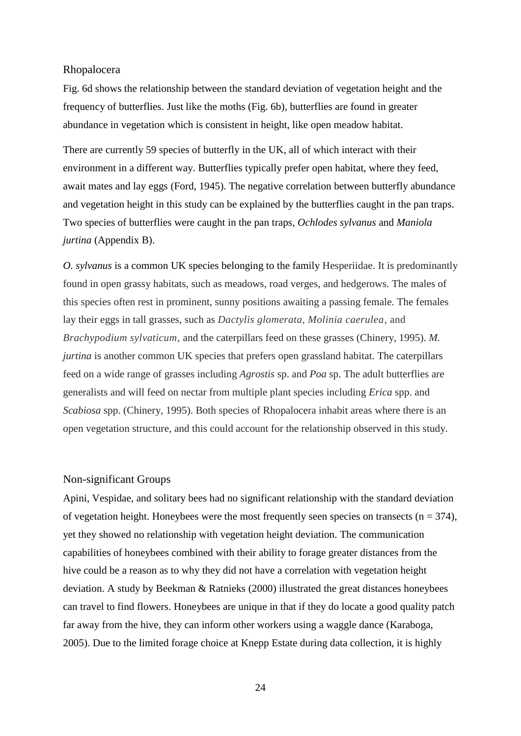#### Rhopalocera

Fig. 6d shows the relationship between the standard deviation of vegetation height and the frequency of butterflies. Just like the moths (Fig. 6b), butterflies are found in greater abundance in vegetation which is consistent in height, like open meadow habitat.

There are currently 59 species of butterfly in the UK, all of which interact with their environment in a different way. Butterflies typically prefer open habitat, where they feed, await mates and lay eggs (Ford, 1945). The negative correlation between butterfly abundance and vegetation height in this study can be explained by the butterflies caught in the pan traps. Two species of butterflies were caught in the pan traps, *Ochlodes sylvanus* and *Maniola jurtina* (Appendix B).

*O. sylvanus* is a common UK species belonging to the family Hesperiidae. It is predominantly found in open grassy habitats, such as meadows, road verges, and hedgerows. The males of this species often rest in prominent, sunny positions awaiting a passing female. The females lay their eggs in tall grasses, such as *Dactylis glomerata, Molinia caerulea*, and *Brachypodium sylvaticum,* and the caterpillars feed on these grasses (Chinery, 1995). *M. jurtina* is another common UK species that prefers open grassland habitat. The caterpillars feed on a wide range of grasses including *Agrostis* sp. and *Poa* sp. The adult butterflies are generalists and will feed on nectar from multiple plant species including *Erica* spp. and *Scabiosa* spp. (Chinery, 1995). Both species of Rhopalocera inhabit areas where there is an open vegetation structure, and this could account for the relationship observed in this study.

#### Non-significant Groups

Apini, Vespidae, and solitary bees had no significant relationship with the standard deviation of vegetation height. Honeybees were the most frequently seen species on transects ( $n = 374$ ), yet they showed no relationship with vegetation height deviation. The communication capabilities of honeybees combined with their ability to forage greater distances from the hive could be a reason as to why they did not have a correlation with vegetation height deviation. A study by Beekman & Ratnieks (2000) illustrated the great distances honeybees can travel to find flowers. Honeybees are unique in that if they do locate a good quality patch far away from the hive, they can inform other workers using a waggle dance (Karaboga, 2005). Due to the limited forage choice at Knepp Estate during data collection, it is highly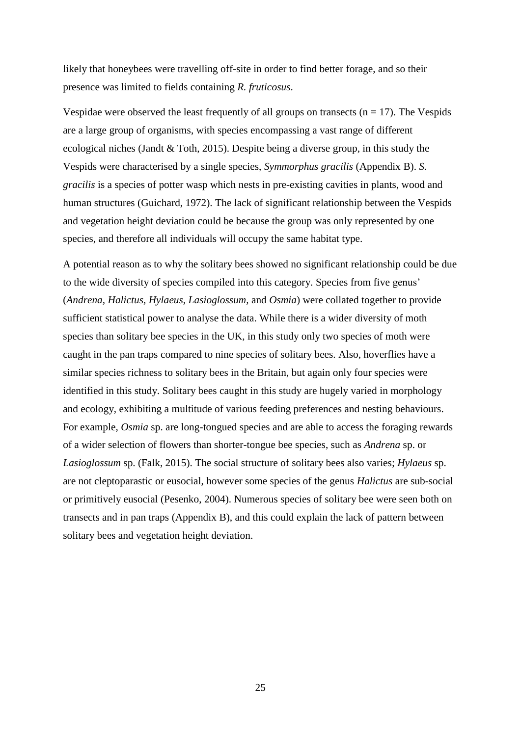likely that honeybees were travelling off-site in order to find better forage, and so their presence was limited to fields containing *R. fruticosus*.

Vespidae were observed the least frequently of all groups on transects  $(n = 17)$ . The Vespids are a large group of organisms, with species encompassing a vast range of different ecological niches (Jandt & Toth, 2015). Despite being a diverse group, in this study the Vespids were characterised by a single species, *Symmorphus gracilis* (Appendix B). *S. gracilis* is a species of potter wasp which nests in pre-existing cavities in plants, wood and human structures (Guichard, 1972). The lack of significant relationship between the Vespids and vegetation height deviation could be because the group was only represented by one species, and therefore all individuals will occupy the same habitat type.

A potential reason as to why the solitary bees showed no significant relationship could be due to the wide diversity of species compiled into this category. Species from five genus' (*Andrena, Halictus, Hylaeus*, *Lasioglossum,* and *Osmia*) were collated together to provide sufficient statistical power to analyse the data. While there is a wider diversity of moth species than solitary bee species in the UK, in this study only two species of moth were caught in the pan traps compared to nine species of solitary bees. Also, hoverflies have a similar species richness to solitary bees in the Britain, but again only four species were identified in this study. Solitary bees caught in this study are hugely varied in morphology and ecology, exhibiting a multitude of various feeding preferences and nesting behaviours. For example, *Osmia* sp. are long-tongued species and are able to access the foraging rewards of a wider selection of flowers than shorter-tongue bee species, such as *Andrena* sp. or *Lasioglossum* sp. (Falk, 2015). The social structure of solitary bees also varies; *Hylaeus* sp. are not cleptoparastic or eusocial, however some species of the genus *Halictus* are sub-social or primitively eusocial (Pesenko, 2004). Numerous species of solitary bee were seen both on transects and in pan traps (Appendix B), and this could explain the lack of pattern between solitary bees and vegetation height deviation.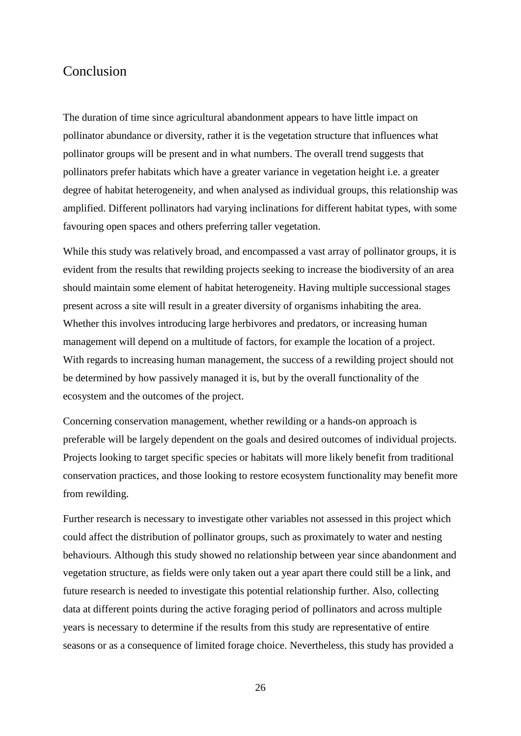## Conclusion

The duration of time since agricultural abandonment appears to have little impact on pollinator abundance or diversity, rather it is the vegetation structure that influences what pollinator groups will be present and in what numbers. The overall trend suggests that pollinators prefer habitats which have a greater variance in vegetation height i.e. a greater degree of habitat heterogeneity, and when analysed as individual groups, this relationship was amplified. Different pollinators had varying inclinations for different habitat types, with some favouring open spaces and others preferring taller vegetation.

While this study was relatively broad, and encompassed a vast array of pollinator groups, it is evident from the results that rewilding projects seeking to increase the biodiversity of an area should maintain some element of habitat heterogeneity. Having multiple successional stages present across a site will result in a greater diversity of organisms inhabiting the area. Whether this involves introducing large herbivores and predators, or increasing human management will depend on a multitude of factors, for example the location of a project. With regards to increasing human management, the success of a rewilding project should not be determined by how passively managed it is, but by the overall functionality of the ecosystem and the outcomes of the project.

Concerning conservation management, whether rewilding or a hands-on approach is preferable will be largely dependent on the goals and desired outcomes of individual projects. Projects looking to target specific species or habitats will more likely benefit from traditional conservation practices, and those looking to restore ecosystem functionality may benefit more from rewilding.

Further research is necessary to investigate other variables not assessed in this project which could affect the distribution of pollinator groups, such as proximately to water and nesting behaviours. Although this study showed no relationship between year since abandonment and vegetation structure, as fields were only taken out a year apart there could still be a link, and future research is needed to investigate this potential relationship further. Also, collecting data at different points during the active foraging period of pollinators and across multiple years is necessary to determine if the results from this study are representative of entire seasons or as a consequence of limited forage choice. Nevertheless, this study has provided a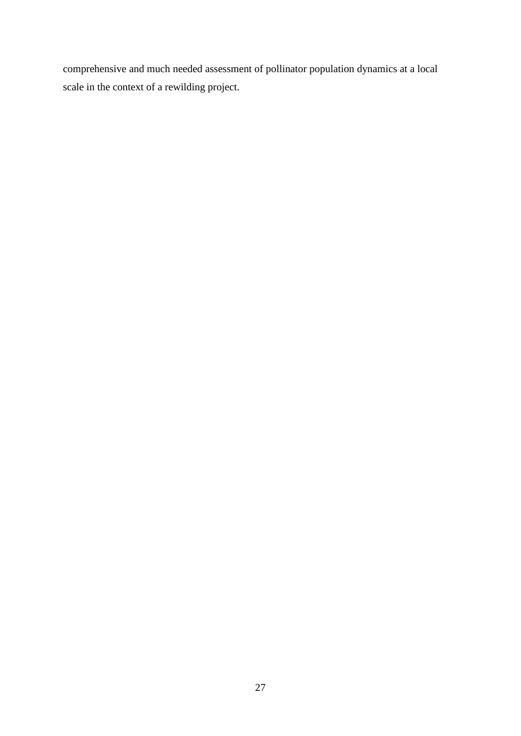comprehensive and much needed assessment of pollinator population dynamics at a local scale in the context of a rewilding project.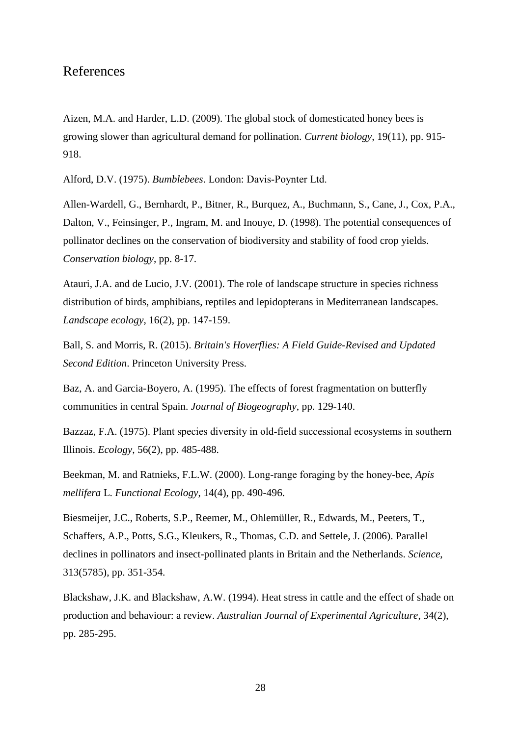## References

Aizen, M.A. and Harder, L.D. (2009). The global stock of domesticated honey bees is growing slower than agricultural demand for pollination. *Current biology*, 19(11), pp. 915- 918.

Alford, D.V. (1975). *Bumblebees*. London: Davis‐Poynter Ltd.

Allen-Wardell, G., Bernhardt, P., Bitner, R., Burquez, A., Buchmann, S., Cane, J., Cox, P.A., Dalton, V., Feinsinger, P., Ingram, M. and Inouye, D. (1998). The potential consequences of pollinator declines on the conservation of biodiversity and stability of food crop yields. *Conservation biology*, pp. 8-17.

Atauri, J.A. and de Lucio, J.V. (2001). The role of landscape structure in species richness distribution of birds, amphibians, reptiles and lepidopterans in Mediterranean landscapes. *Landscape ecology*, 16(2), pp. 147-159.

Ball, S. and Morris, R. (2015). *Britain's Hoverflies: A Field Guide-Revised and Updated Second Edition*. Princeton University Press.

Baz, A. and Garcia-Boyero, A. (1995). The effects of forest fragmentation on butterfly communities in central Spain. *Journal of Biogeography*, pp. 129-140.

Bazzaz, F.A. (1975). Plant species diversity in old‐field successional ecosystems in southern Illinois. *Ecology*, 56(2), pp. 485-488.

Beekman, M. and Ratnieks, F.L.W. (2000). Long‐range foraging by the honey‐bee, *Apis mellifera* L. *Functional Ecology*, 14(4), pp. 490-496.

Biesmeijer, J.C., Roberts, S.P., Reemer, M., Ohlemüller, R., Edwards, M., Peeters, T., Schaffers, A.P., Potts, S.G., Kleukers, R., Thomas, C.D. and Settele, J. (2006). Parallel declines in pollinators and insect-pollinated plants in Britain and the Netherlands. *Science*, 313(5785), pp. 351-354.

Blackshaw, J.K. and Blackshaw, A.W. (1994). Heat stress in cattle and the effect of shade on production and behaviour: a review. *Australian Journal of Experimental Agriculture*, 34(2), pp. 285-295.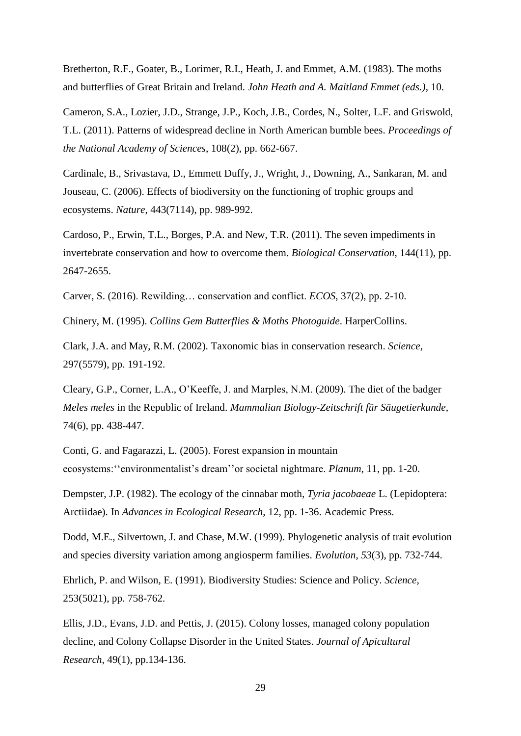Bretherton, R.F., Goater, B., Lorimer, R.I., Heath, J. and Emmet, A.M. (1983). The moths and butterflies of Great Britain and Ireland. *John Heath and A. Maitland Emmet (eds.)*, 10.

Cameron, S.A., Lozier, J.D., Strange, J.P., Koch, J.B., Cordes, N., Solter, L.F. and Griswold, T.L. (2011). Patterns of widespread decline in North American bumble bees. *Proceedings of the National Academy of Sciences*, 108(2), pp. 662-667.

Cardinale, B., Srivastava, D., Emmett Duffy, J., Wright, J., Downing, A., Sankaran, M. and Jouseau, C. (2006). Effects of biodiversity on the functioning of trophic groups and ecosystems. *Nature*, 443(7114), pp. 989-992.

Cardoso, P., Erwin, T.L., Borges, P.A. and New, T.R. (2011). The seven impediments in invertebrate conservation and how to overcome them. *Biological Conservation*, 144(11), pp. 2647-2655.

Carver, S. (2016). Rewilding… conservation and conflict. *ECOS*, 37(2), pp. 2-10.

Chinery, M. (1995). *Collins Gem Butterflies & Moths Photoguide*. HarperCollins.

Clark, J.A. and May, R.M. (2002). Taxonomic bias in conservation research. *Science*, 297(5579), pp. 191-192.

Cleary, G.P., Corner, L.A., O'Keeffe, J. and Marples, N.M. (2009). The diet of the badger *Meles meles* in the Republic of Ireland. *Mammalian Biology-Zeitschrift für Säugetierkunde*, 74(6), pp. 438-447.

Conti, G. and Fagarazzi, L. (2005). Forest expansion in mountain ecosystems:''environmentalist's dream''or societal nightmare. *Planum*, 11, pp. 1-20.

Dempster, J.P. (1982). The ecology of the cinnabar moth, *Tyria jacobaeae* L. (Lepidoptera: Arctiidae). In *Advances in Ecological Research*, 12, pp. 1-36. Academic Press.

Dodd, M.E., Silvertown, J. and Chase, M.W. (1999). Phylogenetic analysis of trait evolution and species diversity variation among angiosperm families. *Evolution*, *53*(3), pp. 732-744.

Ehrlich, P. and Wilson, E. (1991). Biodiversity Studies: Science and Policy. *Science*, 253(5021), pp. 758-762.

Ellis, J.D., Evans, J.D. and Pettis, J. (2015). Colony losses, managed colony population decline, and Colony Collapse Disorder in the United States. *Journal of Apicultural Research*, 49(1), pp.134-136.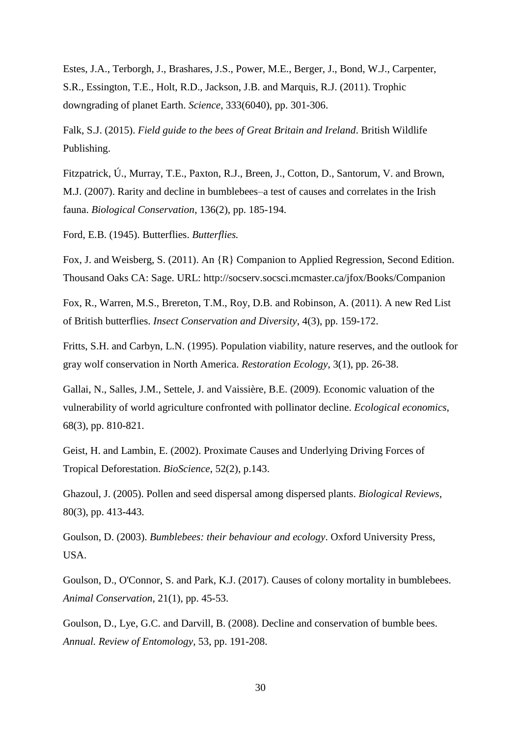Estes, J.A., Terborgh, J., Brashares, J.S., Power, M.E., Berger, J., Bond, W.J., Carpenter, S.R., Essington, T.E., Holt, R.D., Jackson, J.B. and Marquis, R.J. (2011). Trophic downgrading of planet Earth. *Science*, 333(6040), pp. 301-306.

Falk, S.J. (2015). *Field guide to the bees of Great Britain and Ireland*. British Wildlife Publishing.

Fitzpatrick, Ú., Murray, T.E., Paxton, R.J., Breen, J., Cotton, D., Santorum, V. and Brown, M.J. (2007). Rarity and decline in bumblebees–a test of causes and correlates in the Irish fauna. *Biological Conservation*, 136(2), pp. 185-194.

Ford, E.B. (1945). Butterflies. *Butterflies.*

Fox, J. and Weisberg, S. (2011). An {R} Companion to Applied Regression, Second Edition. Thousand Oaks CA: Sage. URL: http://socserv.socsci.mcmaster.ca/jfox/Books/Companion

Fox, R., Warren, M.S., Brereton, T.M., Roy, D.B. and Robinson, A. (2011). A new Red List of British butterflies. *Insect Conservation and Diversity*, 4(3), pp. 159-172.

Fritts, S.H. and Carbyn, L.N. (1995). Population viability, nature reserves, and the outlook for gray wolf conservation in North America. *Restoration Ecology*, 3(1), pp. 26-38.

Gallai, N., Salles, J.M., Settele, J. and Vaissière, B.E. (2009). Economic valuation of the vulnerability of world agriculture confronted with pollinator decline. *Ecological economics*, 68(3), pp. 810-821.

Geist, H. and Lambin, E. (2002). Proximate Causes and Underlying Driving Forces of Tropical Deforestation. *BioScience*, 52(2), p.143.

Ghazoul, J. (2005). Pollen and seed dispersal among dispersed plants. *Biological Reviews*, 80(3), pp. 413-443.

Goulson, D. (2003). *Bumblebees: their behaviour and ecology*. Oxford University Press, USA.

Goulson, D., O'Connor, S. and Park, K.J. (2017). Causes of colony mortality in bumblebees. *Animal Conservation*, 21(1), pp. 45-53.

Goulson, D., Lye, G.C. and Darvill, B. (2008). Decline and conservation of bumble bees. *Annual. Review of Entomology,* 53, pp. 191-208.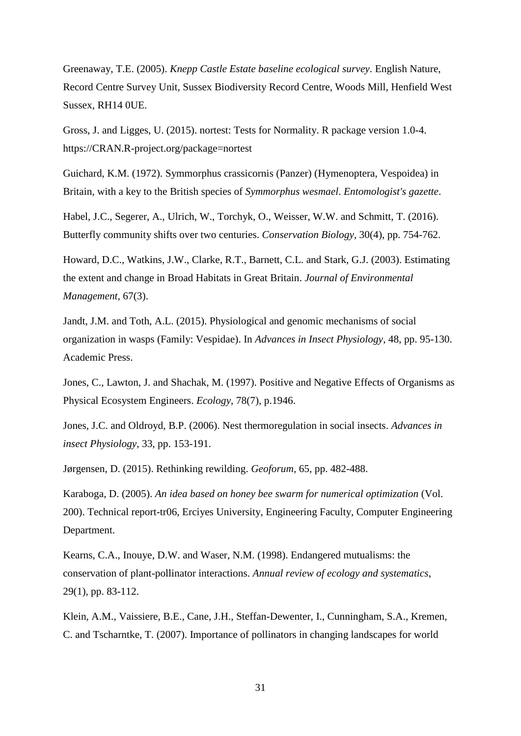Greenaway, T.E. (2005). *Knepp Castle Estate baseline ecological survey*. English Nature, Record Centre Survey Unit, Sussex Biodiversity Record Centre, Woods Mill, Henfield West Sussex, RH14 0UE.

Gross, J. and Ligges, U. (2015). nortest: Tests for Normality. R package version 1.0-4. https://CRAN.R-project.org/package=nortest

Guichard, K.M. (1972). Symmorphus crassicornis (Panzer) (Hymenoptera, Vespoidea) in Britain, with a key to the British species of *Symmorphus wesmael*. *Entomologist's gazette*.

Habel, J.C., Segerer, A., Ulrich, W., Torchyk, O., Weisser, W.W. and Schmitt, T. (2016). Butterfly community shifts over two centuries. *Conservation Biology*, 30(4), pp. 754-762.

Howard, D.C., Watkins, J.W., Clarke, R.T., Barnett, C.L. and Stark, G.J. (2003). Estimating the extent and change in Broad Habitats in Great Britain. *Journal of Environmental Management,* 67(3).

Jandt, J.M. and Toth, A.L. (2015). Physiological and genomic mechanisms of social organization in wasps (Family: Vespidae). In *Advances in Insect Physiology*, 48, pp. 95-130. Academic Press.

Jones, C., Lawton, J. and Shachak, M. (1997). Positive and Negative Effects of Organisms as Physical Ecosystem Engineers. *Ecology*, 78(7), p.1946.

Jones, J.C. and Oldroyd, B.P. (2006). Nest thermoregulation in social insects. *Advances in insect Physiology*, 33, pp. 153-191.

Jørgensen, D. (2015). Rethinking rewilding. *Geoforum,* 65, pp. 482-488.

Karaboga, D. (2005). *An idea based on honey bee swarm for numerical optimization* (Vol. 200). Technical report-tr06, Erciyes University, Engineering Faculty, Computer Engineering Department.

Kearns, C.A., Inouye, D.W. and Waser, N.M. (1998). Endangered mutualisms: the conservation of plant-pollinator interactions. *Annual review of ecology and systematics*, 29(1), pp. 83-112.

Klein, A.M., Vaissiere, B.E., Cane, J.H., Steffan-Dewenter, I., Cunningham, S.A., Kremen, C. and Tscharntke, T. (2007). Importance of pollinators in changing landscapes for world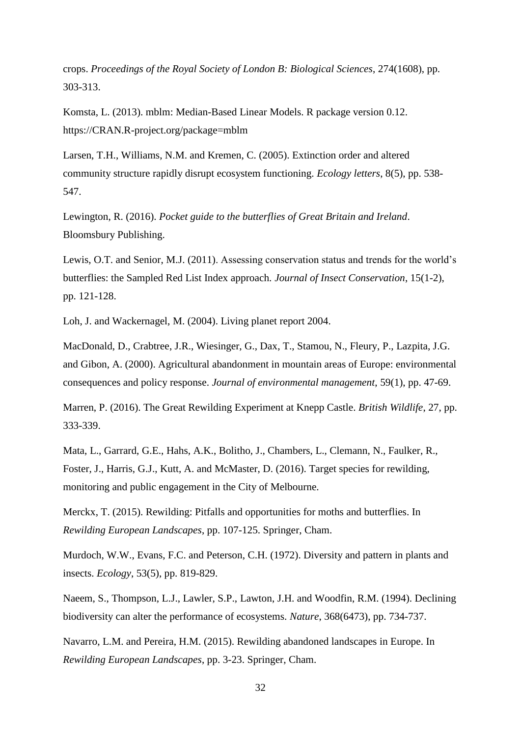crops. *Proceedings of the Royal Society of London B: Biological Sciences*, 274(1608), pp. 303-313.

Komsta, L. (2013). mblm: Median-Based Linear Models. R package version 0.12. https://CRAN.R-project.org/package=mblm

Larsen, T.H., Williams, N.M. and Kremen, C. (2005). Extinction order and altered community structure rapidly disrupt ecosystem functioning. *Ecology letters*, 8(5), pp. 538- 547.

Lewington, R. (2016). *Pocket guide to the butterflies of Great Britain and Ireland*. Bloomsbury Publishing.

Lewis, O.T. and Senior, M.J. (2011). Assessing conservation status and trends for the world's butterflies: the Sampled Red List Index approach. *Journal of Insect Conservation*, 15(1-2), pp. 121-128.

Loh, J. and Wackernagel, M. (2004). Living planet report 2004.

MacDonald, D., Crabtree, J.R., Wiesinger, G., Dax, T., Stamou, N., Fleury, P., Lazpita, J.G. and Gibon, A. (2000). Agricultural abandonment in mountain areas of Europe: environmental consequences and policy response. *Journal of environmental management*, 59(1), pp. 47-69.

Marren, P. (2016). The Great Rewilding Experiment at Knepp Castle. *British Wildlife*, 27, pp. 333-339.

Mata, L., Garrard, G.E., Hahs, A.K., Bolitho, J., Chambers, L., Clemann, N., Faulker, R., Foster, J., Harris, G.J., Kutt, A. and McMaster, D. (2016). Target species for rewilding, monitoring and public engagement in the City of Melbourne.

Merckx, T. (2015). Rewilding: Pitfalls and opportunities for moths and butterflies. In *Rewilding European Landscapes*, pp. 107-125. Springer, Cham.

Murdoch, W.W., Evans, F.C. and Peterson, C.H. (1972). Diversity and pattern in plants and insects. *Ecology*, 53(5), pp. 819-829.

Naeem, S., Thompson, L.J., Lawler, S.P., Lawton, J.H. and Woodfin, R.M. (1994). Declining biodiversity can alter the performance of ecosystems. *Nature*, 368(6473), pp. 734-737.

Navarro, L.M. and Pereira, H.M. (2015). Rewilding abandoned landscapes in Europe. In *Rewilding European Landscapes*, pp. 3-23. Springer, Cham.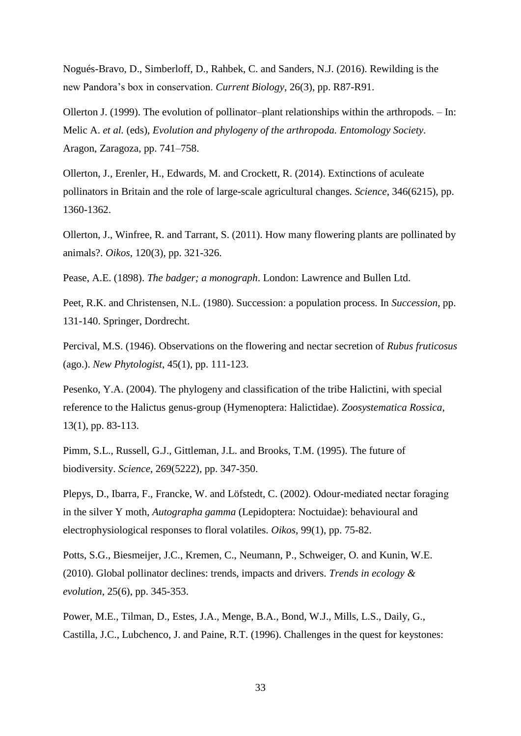Nogués-Bravo, D., Simberloff, D., Rahbek, C. and Sanders, N.J. (2016). Rewilding is the new Pandora's box in conservation. *Current Biology*, 26(3), pp. R87-R91.

Ollerton J. (1999). The evolution of pollinator–plant relationships within the arthropods. – In: Melic A. *et al.* (eds), *Evolution and phylogeny of the arthropoda. Entomology Society*. Aragon, Zaragoza, pp. 741–758.

Ollerton, J., Erenler, H., Edwards, M. and Crockett, R. (2014). Extinctions of aculeate pollinators in Britain and the role of large-scale agricultural changes. *Science*, 346(6215), pp. 1360-1362.

Ollerton, J., Winfree, R. and Tarrant, S. (2011). How many flowering plants are pollinated by animals?. *Oikos*, 120(3), pp. 321-326.

Pease, A.E. (1898). *The badger; a monograph*. London: Lawrence and Bullen Ltd.

Peet, R.K. and Christensen, N.L. (1980). Succession: a population process. In *Succession*, pp. 131-140. Springer, Dordrecht.

Percival, M.S. (1946). Observations on the flowering and nectar secretion of *Rubus fruticosus* (ago.). *New Phytologist*, 45(1), pp. 111-123.

Pesenko, Y.A. (2004). The phylogeny and classification of the tribe Halictini, with special reference to the Halictus genus-group (Hymenoptera: Halictidae). *Zoosystematica Rossica*, 13(1), pp. 83-113.

Pimm, S.L., Russell, G.J., Gittleman, J.L. and Brooks, T.M. (1995). The future of biodiversity. *Science*, 269(5222), pp. 347-350.

Plepys, D., Ibarra, F., Francke, W. and Löfstedt, C. (2002). Odour‐mediated nectar foraging in the silver Y moth, *Autographa gamma* (Lepidoptera: Noctuidae): behavioural and electrophysiological responses to floral volatiles. *Oikos*, 99(1), pp. 75-82.

Potts, S.G., Biesmeijer, J.C., Kremen, C., Neumann, P., Schweiger, O. and Kunin, W.E. (2010). Global pollinator declines: trends, impacts and drivers. *Trends in ecology & evolution*, 25(6), pp. 345-353.

Power, M.E., Tilman, D., Estes, J.A., Menge, B.A., Bond, W.J., Mills, L.S., Daily, G., Castilla, J.C., Lubchenco, J. and Paine, R.T. (1996). Challenges in the quest for keystones: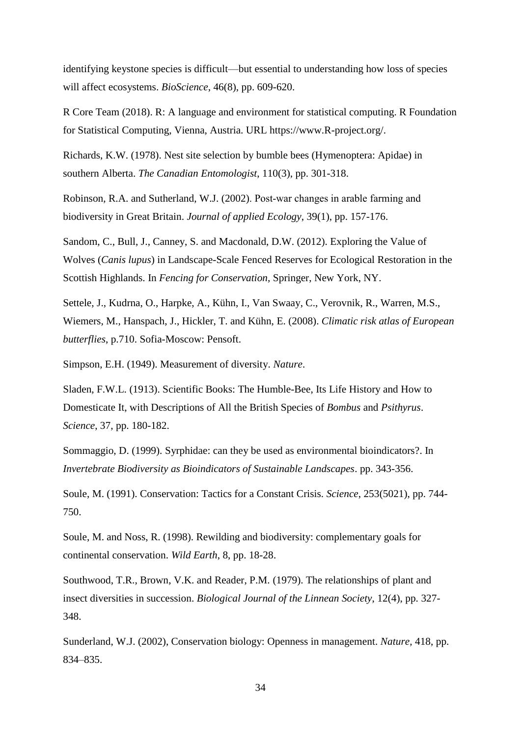identifying keystone species is difficult—but essential to understanding how loss of species will affect ecosystems. *BioScience*, 46(8), pp. 609-620.

R Core Team (2018). R: A language and environment for statistical computing. R Foundation for Statistical Computing, Vienna, Austria. URL https://www.R-project.org/.

Richards, K.W. (1978). Nest site selection by bumble bees (Hymenoptera: Apidae) in southern Alberta. *The Canadian Entomologist*, 110(3), pp. 301-318.

Robinson, R.A. and Sutherland, W.J. (2002). Post‐war changes in arable farming and biodiversity in Great Britain. *Journal of applied Ecology*, 39(1), pp. 157-176.

Sandom, C., Bull, J., Canney, S. and Macdonald, D.W. (2012). Exploring the Value of Wolves (*Canis lupus*) in Landscape-Scale Fenced Reserves for Ecological Restoration in the Scottish Highlands. In *Fencing for Conservation,* Springer, New York, NY.

Settele, J., Kudrna, O., Harpke, A., Kühn, I., Van Swaay, C., Verovnik, R., Warren, M.S., Wiemers, M., Hanspach, J., Hickler, T. and Kühn, E. (2008). *Climatic risk atlas of European butterflies*, p.710. Sofia-Moscow: Pensoft.

Simpson, E.H. (1949). Measurement of diversity. *Nature*.

Sladen, F.W.L. (1913). Scientific Books: The Humble-Bee, Its Life History and How to Domesticate It, with Descriptions of All the British Species of *Bombus* and *Psithyrus*. *Science*, 37, pp. 180-182.

Sommaggio, D. (1999). Syrphidae: can they be used as environmental bioindicators?. In *Invertebrate Biodiversity as Bioindicators of Sustainable Landscapes*. pp. 343-356.

Soule, M. (1991). Conservation: Tactics for a Constant Crisis. *Science*, 253(5021), pp. 744- 750.

Soule, M. and Noss, R. (1998). Rewilding and biodiversity: complementary goals for continental conservation. *Wild Earth*, 8, pp. 18-28.

Southwood, T.R., Brown, V.K. and Reader, P.M. (1979). The relationships of plant and insect diversities in succession. *Biological Journal of the Linnean Society*, 12(4), pp. 327- 348.

Sunderland, W.J. (2002), Conservation biology: Openness in management. *Nature,* 418, pp. 834–835.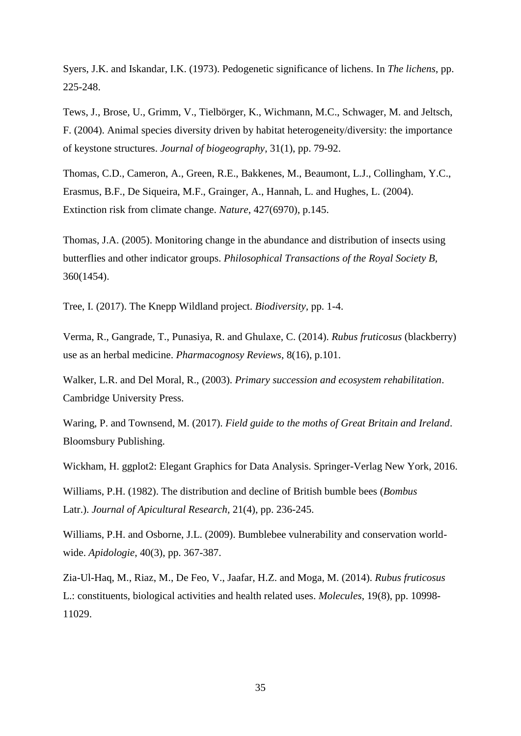Syers, J.K. and Iskandar, I.K. (1973). Pedogenetic significance of lichens. In *The lichens*, pp. 225-248.

Tews, J., Brose, U., Grimm, V., Tielbörger, K., Wichmann, M.C., Schwager, M. and Jeltsch, F. (2004). Animal species diversity driven by habitat heterogeneity/diversity: the importance of keystone structures. *Journal of biogeography*, 31(1), pp. 79-92.

Thomas, C.D., Cameron, A., Green, R.E., Bakkenes, M., Beaumont, L.J., Collingham, Y.C., Erasmus, B.F., De Siqueira, M.F., Grainger, A., Hannah, L. and Hughes, L. (2004). Extinction risk from climate change. *Nature*, 427(6970), p.145.

Thomas, J.A. (2005). Monitoring change in the abundance and distribution of insects using butterflies and other indicator groups. *Philosophical Transactions of the Royal Society B,* 360(1454).

Tree, I. (2017). The Knepp Wildland project. *Biodiversity,* pp. 1-4.

Verma, R., Gangrade, T., Punasiya, R. and Ghulaxe, C. (2014). *Rubus fruticosus* (blackberry) use as an herbal medicine. *Pharmacognosy Reviews*, 8(16), p.101.

Walker, L.R. and Del Moral, R., (2003). *Primary succession and ecosystem rehabilitation*. Cambridge University Press.

Waring, P. and Townsend, M. (2017). *Field guide to the moths of Great Britain and Ireland*. Bloomsbury Publishing.

Wickham, H. ggplot2: Elegant Graphics for Data Analysis. Springer-Verlag New York, 2016.

Williams, P.H. (1982). The distribution and decline of British bumble bees (*Bombus* Latr.). *Journal of Apicultural Research,* 21(4), pp. 236-245.

Williams, P.H. and Osborne, J.L. (2009). Bumblebee vulnerability and conservation worldwide. *Apidologie*, 40(3), pp. 367-387.

Zia-Ul-Haq, M., Riaz, M., De Feo, V., Jaafar, H.Z. and Moga, M. (2014). *Rubus fruticosus* L.: constituents, biological activities and health related uses. *Molecules*, 19(8), pp. 10998- 11029.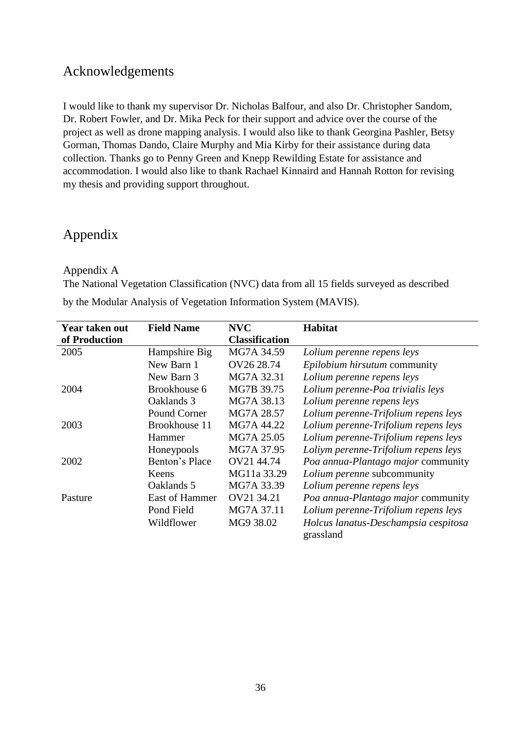## Acknowledgements

I would like to thank my supervisor Dr. Nicholas Balfour, and also Dr. Christopher Sandom, Dr. Robert Fowler, and Dr. Mika Peck for their support and advice over the course of the project as well as drone mapping analysis. I would also like to thank Georgina Pashler, Betsy Gorman, Thomas Dando, Claire Murphy and Mia Kirby for their assistance during data collection. Thanks go to Penny Green and Knepp Rewilding Estate for assistance and accommodation. I would also like to thank Rachael Kinnaird and Hannah Rotton for revising my thesis and providing support throughout.

# Appendix

Appendix A

The National Vegetation Classification (NVC) data from all 15 fields surveyed as described by the Modular Analysis of Vegetation Information System (MAVIS).

| Year taken out | <b>Field Name</b> | <b>NVC</b>            | Habitat                                           |
|----------------|-------------------|-----------------------|---------------------------------------------------|
| of Production  |                   | <b>Classification</b> |                                                   |
| 2005           | Hampshire Big     | MG7A 34.59            | Lolium perenne repens leys                        |
|                | New Barn 1        | OV26 28.74            | Epilobium hirsutum community                      |
|                | New Barn 3        | MG7A 32.31            | Lolium perenne repens leys                        |
| 2004           | Brookhouse 6      | MG7B 39.75            | Lolium perenne-Poa trivialis leys                 |
|                | Oaklands 3        | MG7A 38.13            | Lolium perenne repens leys                        |
|                | Pound Corner      | MG7A 28.57            | Lolium perenne-Trifolium repens leys              |
| 2003           | Brookhouse 11     | MG7A 44.22            | Lolium perenne-Trifolium repens leys              |
|                | Hammer            | MG7A 25.05            | Lolium perenne-Trifolium repens leys              |
|                | Honeypools        | MG7A 37.95            | Loliym perenne-Trifolium repens leys              |
| 2002           | Benton's Place    | OV21 44.74            | Poa annua-Plantago major community                |
|                | Keens             | MG11a 33.29           | Lolium perenne subcommunity                       |
|                | Oaklands 5        | MG7A 33.39            | Lolium perenne repens leys                        |
| Pasture        | East of Hammer    | OV21 34.21            | Poa annua-Plantago major community                |
|                | Pond Field        | MG7A 37.11            | Lolium perenne-Trifolium repens leys              |
|                | Wildflower        | MG9 38.02             | Holcus lanatus-Deschampsia cespitosa<br>grassland |